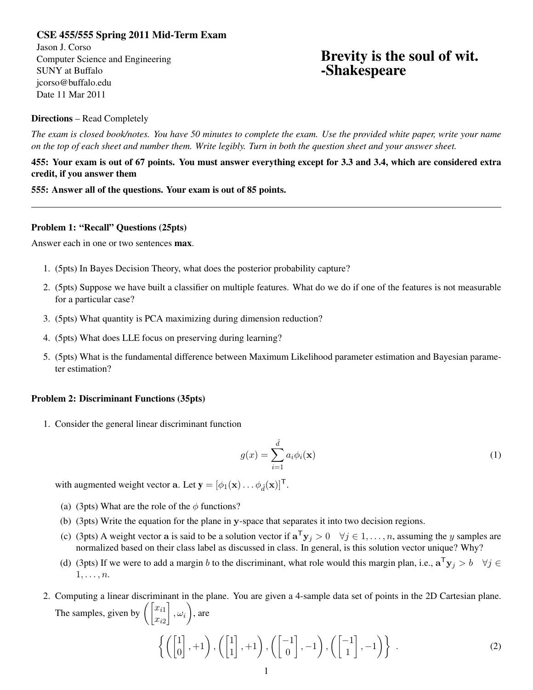## CSE 455/555 Spring 2011 Mid-Term Exam

Jason J. Corso Computer Science and Engineering SUNY at Buffalo jcorso@buffalo.edu Date 11 Mar 2011

# Brevity is the soul of wit. -Shakespeare

### Directions – Read Completely

*The exam is closed book/notes. You have 50 minutes to complete the exam. Use the provided white paper, write your name on the top of each sheet and number them. Write legibly. Turn in both the question sheet and your answer sheet.*

455: Your exam is out of 67 points. You must answer everything except for 3.3 and 3.4, which are considered extra credit, if you answer them

555: Answer all of the questions. Your exam is out of 85 points.

#### Problem 1: "Recall" Questions (25pts)

Answer each in one or two sentences max.

- 1. (5pts) In Bayes Decision Theory, what does the posterior probability capture?
- 2. (5pts) Suppose we have built a classifier on multiple features. What do we do if one of the features is not measurable for a particular case?
- 3. (5pts) What quantity is PCA maximizing during dimension reduction?
- 4. (5pts) What does LLE focus on preserving during learning?
- 5. (5pts) What is the fundamental difference between Maximum Likelihood parameter estimation and Bayesian parameter estimation?

#### Problem 2: Discriminant Functions (35pts)

1. Consider the general linear discriminant function

$$
g(x) = \sum_{i=1}^{\hat{d}} a_i \phi_i(\mathbf{x})
$$
 (1)

with augmented weight vector a. Let  $\mathbf{y} = [\phi_1(\mathbf{x}) \dots \phi_d(\mathbf{x})]^T$ .

- (a) (3pts) What are the role of the  $\phi$  functions?
- (b) (3pts) Write the equation for the plane in y-space that separates it into two decision regions.
- (c) (3pts) A weight vector a is said to be a solution vector if  $\mathbf{a}^T \mathbf{y}_j > 0 \quad \forall j \in 1, \ldots, n$ , assuming the y samples are normalized based on their class label as discussed in class. In general, is this solution vector unique? Why?
- (d) (3pts) If we were to add a margin b to the discriminant, what role would this margin plan, i.e.,  $\mathbf{a}^T \mathbf{y}_j > b \quad \forall j \in \mathbb{N}$  $1, \ldots, n$ .
- 2. Computing a linear discriminant in the plane. You are given a 4-sample data set of points in the 2D Cartesian plane. The samples, given by  $\left( \begin{bmatrix} x_{i1} \\ x_{i2} \end{bmatrix} \right)$  $\Big]$ ,  $\omega_i$ , are

$$
\left\{ \left( \begin{bmatrix} 1 \\ 0 \end{bmatrix}, +1 \right), \left( \begin{bmatrix} 1 \\ 1 \end{bmatrix}, +1 \right), \left( \begin{bmatrix} -1 \\ 0 \end{bmatrix}, -1 \right), \left( \begin{bmatrix} -1 \\ 1 \end{bmatrix}, -1 \right) \right\} . \tag{2}
$$